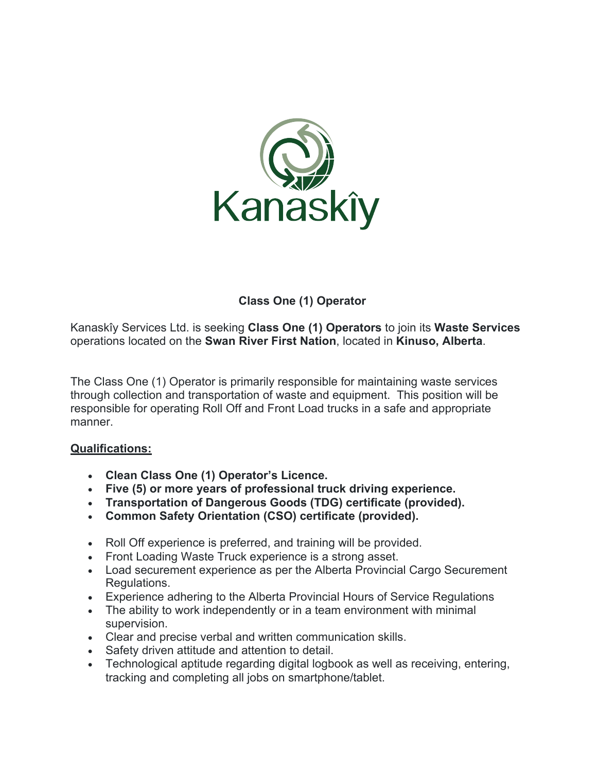

# **Class One (1) Operator**

Kanaskîy Services Ltd. is seeking **Class One (1) Operators** to join its **Waste Services**  operations located on the **Swan River First Nation**, located in **Kinuso, Alberta**.

The Class One (1) Operator is primarily responsible for maintaining waste services through collection and transportation of waste and equipment. This position will be responsible for operating Roll Off and Front Load trucks in a safe and appropriate manner.

### **Qualifications:**

- **Clean Class One (1) Operator's Licence.**
- **Five (5) or more years of professional truck driving experience.**
- **Transportation of Dangerous Goods (TDG) certificate (provided).**
- **Common Safety Orientation (CSO) certificate (provided).**
- Roll Off experience is preferred, and training will be provided.
- Front Loading Waste Truck experience is a strong asset.
- Load securement experience as per the Alberta Provincial Cargo Securement Regulations.
- Experience adhering to the Alberta Provincial Hours of Service Regulations
- The ability to work independently or in a team environment with minimal supervision.
- Clear and precise verbal and written communication skills.
- Safety driven attitude and attention to detail.
- Technological aptitude regarding digital logbook as well as receiving, entering, tracking and completing all jobs on smartphone/tablet.